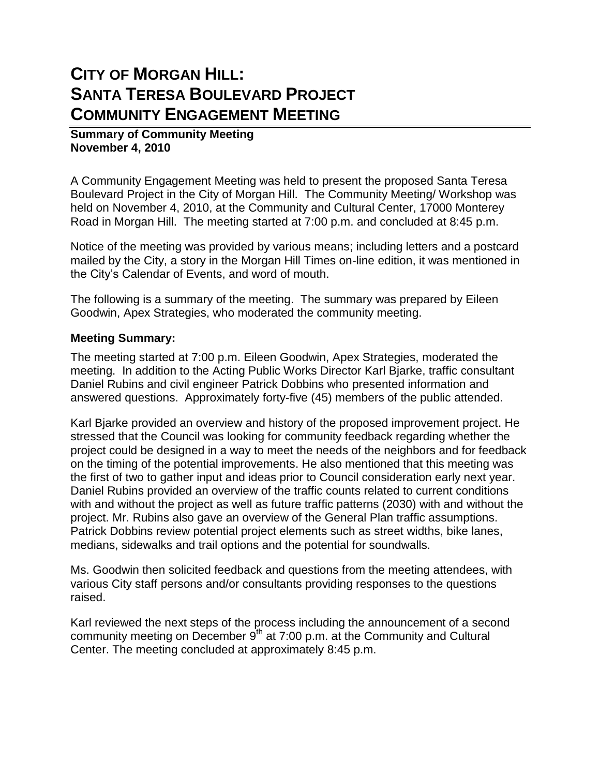## **CITY OF MORGAN HILL: SANTA TERESA BOULEVARD PROJECT COMMUNITY ENGAGEMENT MEETING**

## **Summary of Community Meeting November 4, 2010**

A Community Engagement Meeting was held to present the proposed Santa Teresa Boulevard Project in the City of Morgan Hill. The Community Meeting/ Workshop was held on November 4, 2010, at the Community and Cultural Center, 17000 Monterey Road in Morgan Hill. The meeting started at 7:00 p.m. and concluded at 8:45 p.m.

Notice of the meeting was provided by various means; including letters and a postcard mailed by the City, a story in the Morgan Hill Times on-line edition, it was mentioned in the City's Calendar of Events, and word of mouth.

The following is a summary of the meeting. The summary was prepared by Eileen Goodwin, Apex Strategies, who moderated the community meeting.

## **Meeting Summary:**

The meeting started at 7:00 p.m. Eileen Goodwin, Apex Strategies, moderated the meeting. In addition to the Acting Public Works Director Karl Bjarke, traffic consultant Daniel Rubins and civil engineer Patrick Dobbins who presented information and answered questions. Approximately forty-five (45) members of the public attended.

Karl Bjarke provided an overview and history of the proposed improvement project. He stressed that the Council was looking for community feedback regarding whether the project could be designed in a way to meet the needs of the neighbors and for feedback on the timing of the potential improvements. He also mentioned that this meeting was the first of two to gather input and ideas prior to Council consideration early next year. Daniel Rubins provided an overview of the traffic counts related to current conditions with and without the project as well as future traffic patterns (2030) with and without the project. Mr. Rubins also gave an overview of the General Plan traffic assumptions. Patrick Dobbins review potential project elements such as street widths, bike lanes, medians, sidewalks and trail options and the potential for soundwalls.

Ms. Goodwin then solicited feedback and questions from the meeting attendees, with various City staff persons and/or consultants providing responses to the questions raised.

Karl reviewed the next steps of the process including the announcement of a second community meeting on December  $9<sup>th</sup>$  at 7:00 p.m. at the Community and Cultural Center. The meeting concluded at approximately 8:45 p.m.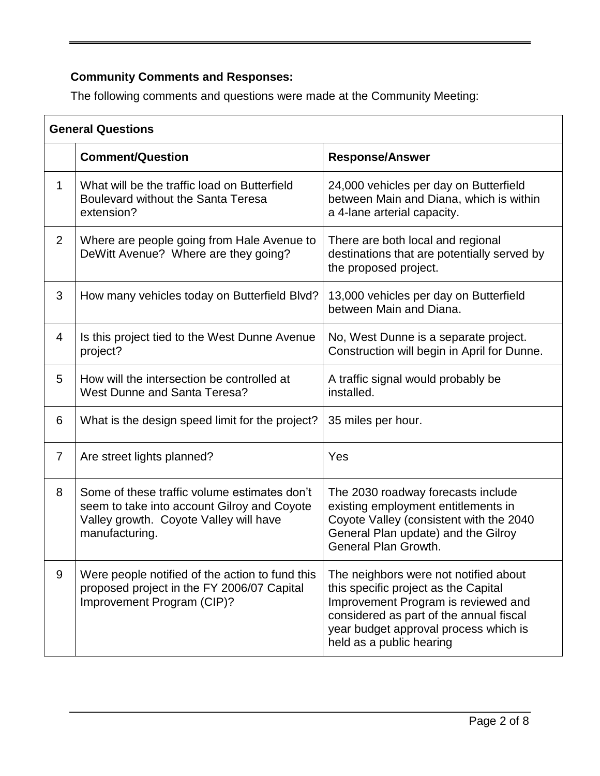## **Community Comments and Responses:**

The following comments and questions were made at the Community Meeting:

| <b>General Questions</b> |                                                                                                                                                         |                                                                                                                                                                                                                                      |
|--------------------------|---------------------------------------------------------------------------------------------------------------------------------------------------------|--------------------------------------------------------------------------------------------------------------------------------------------------------------------------------------------------------------------------------------|
|                          | <b>Comment/Question</b>                                                                                                                                 | <b>Response/Answer</b>                                                                                                                                                                                                               |
| 1                        | What will be the traffic load on Butterfield<br>Boulevard without the Santa Teresa<br>extension?                                                        | 24,000 vehicles per day on Butterfield<br>between Main and Diana, which is within<br>a 4-lane arterial capacity.                                                                                                                     |
| $\overline{2}$           | Where are people going from Hale Avenue to<br>DeWitt Avenue? Where are they going?                                                                      | There are both local and regional<br>destinations that are potentially served by<br>the proposed project.                                                                                                                            |
| 3                        | How many vehicles today on Butterfield Blvd?                                                                                                            | 13,000 vehicles per day on Butterfield<br>between Main and Diana.                                                                                                                                                                    |
| $\overline{4}$           | Is this project tied to the West Dunne Avenue<br>project?                                                                                               | No, West Dunne is a separate project.<br>Construction will begin in April for Dunne.                                                                                                                                                 |
| 5                        | How will the intersection be controlled at<br>West Dunne and Santa Teresa?                                                                              | A traffic signal would probably be<br>installed.                                                                                                                                                                                     |
| 6                        | What is the design speed limit for the project?                                                                                                         | 35 miles per hour.                                                                                                                                                                                                                   |
| $\overline{7}$           | Are street lights planned?                                                                                                                              | Yes                                                                                                                                                                                                                                  |
| 8                        | Some of these traffic volume estimates don't<br>seem to take into account Gilroy and Coyote<br>Valley growth. Coyote Valley will have<br>manufacturing. | The 2030 roadway forecasts include<br>existing employment entitlements in<br>Coyote Valley (consistent with the 2040<br>General Plan update) and the Gilroy<br>General Plan Growth.                                                  |
| 9                        | Were people notified of the action to fund this<br>proposed project in the FY 2006/07 Capital<br>Improvement Program (CIP)?                             | The neighbors were not notified about<br>this specific project as the Capital<br>Improvement Program is reviewed and<br>considered as part of the annual fiscal<br>year budget approval process which is<br>held as a public hearing |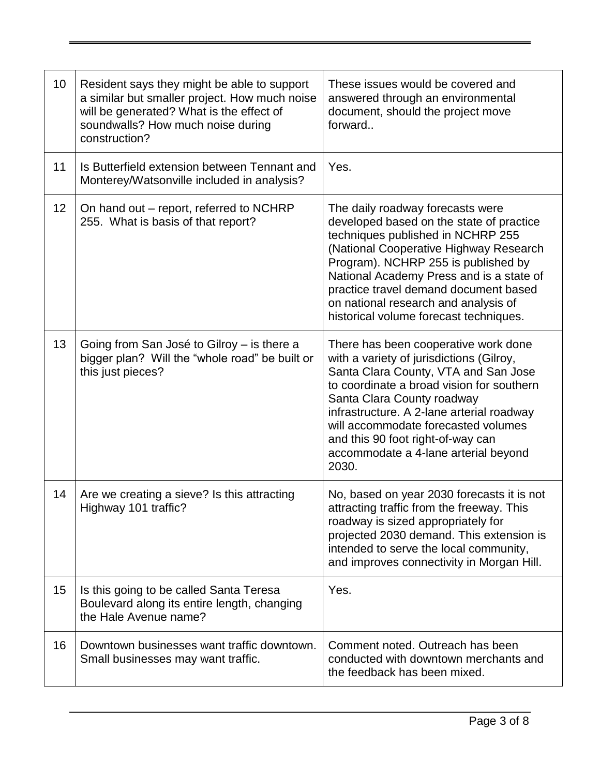| 10 | Resident says they might be able to support<br>a similar but smaller project. How much noise<br>will be generated? What is the effect of<br>soundwalls? How much noise during<br>construction? | These issues would be covered and<br>answered through an environmental<br>document, should the project move<br>forward                                                                                                                                                                                                                                                        |
|----|------------------------------------------------------------------------------------------------------------------------------------------------------------------------------------------------|-------------------------------------------------------------------------------------------------------------------------------------------------------------------------------------------------------------------------------------------------------------------------------------------------------------------------------------------------------------------------------|
| 11 | Is Butterfield extension between Tennant and<br>Monterey/Watsonville included in analysis?                                                                                                     | Yes.                                                                                                                                                                                                                                                                                                                                                                          |
| 12 | On hand out – report, referred to NCHRP<br>255. What is basis of that report?                                                                                                                  | The daily roadway forecasts were<br>developed based on the state of practice<br>techniques published in NCHRP 255<br>(National Cooperative Highway Research<br>Program). NCHRP 255 is published by<br>National Academy Press and is a state of<br>practice travel demand document based<br>on national research and analysis of<br>historical volume forecast techniques.     |
| 13 | Going from San José to Gilroy - is there a<br>bigger plan? Will the "whole road" be built or<br>this just pieces?                                                                              | There has been cooperative work done<br>with a variety of jurisdictions (Gilroy,<br>Santa Clara County, VTA and San Jose<br>to coordinate a broad vision for southern<br>Santa Clara County roadway<br>infrastructure. A 2-lane arterial roadway<br>will accommodate forecasted volumes<br>and this 90 foot right-of-way can<br>accommodate a 4-lane arterial beyond<br>2030. |
| 14 | Are we creating a sieve? Is this attracting<br>Highway 101 traffic?                                                                                                                            | No, based on year 2030 forecasts it is not<br>attracting traffic from the freeway. This<br>roadway is sized appropriately for<br>projected 2030 demand. This extension is<br>intended to serve the local community,<br>and improves connectivity in Morgan Hill.                                                                                                              |
| 15 | Is this going to be called Santa Teresa<br>Boulevard along its entire length, changing<br>the Hale Avenue name?                                                                                | Yes.                                                                                                                                                                                                                                                                                                                                                                          |
| 16 | Downtown businesses want traffic downtown.<br>Small businesses may want traffic.                                                                                                               | Comment noted. Outreach has been<br>conducted with downtown merchants and<br>the feedback has been mixed.                                                                                                                                                                                                                                                                     |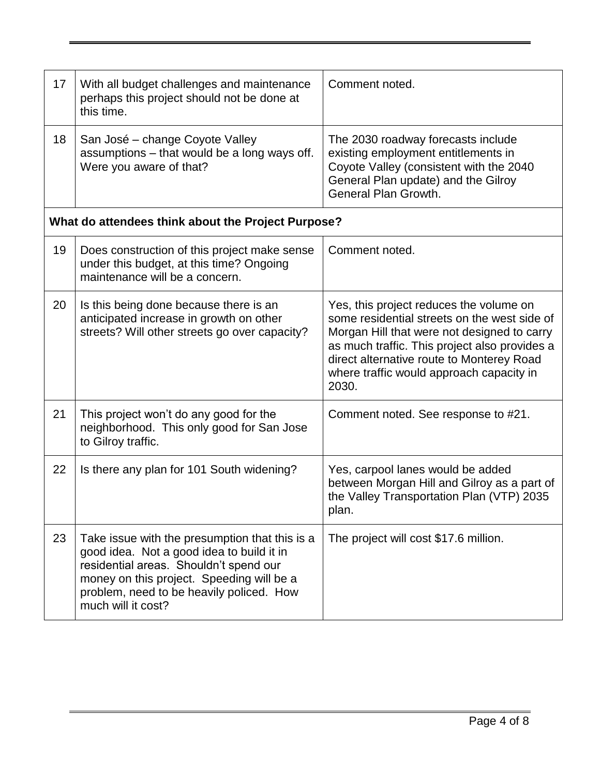| 17                                                 | With all budget challenges and maintenance<br>perhaps this project should not be done at<br>this time.                                                                                                                                               | Comment noted.                                                                                                                                                                                                                                                                            |
|----------------------------------------------------|------------------------------------------------------------------------------------------------------------------------------------------------------------------------------------------------------------------------------------------------------|-------------------------------------------------------------------------------------------------------------------------------------------------------------------------------------------------------------------------------------------------------------------------------------------|
| 18                                                 | San José – change Coyote Valley<br>assumptions - that would be a long ways off.<br>Were you aware of that?                                                                                                                                           | The 2030 roadway forecasts include<br>existing employment entitlements in<br>Coyote Valley (consistent with the 2040<br>General Plan update) and the Gilroy<br>General Plan Growth.                                                                                                       |
| What do attendees think about the Project Purpose? |                                                                                                                                                                                                                                                      |                                                                                                                                                                                                                                                                                           |
| 19                                                 | Does construction of this project make sense<br>under this budget, at this time? Ongoing<br>maintenance will be a concern.                                                                                                                           | Comment noted.                                                                                                                                                                                                                                                                            |
| 20                                                 | Is this being done because there is an<br>anticipated increase in growth on other<br>streets? Will other streets go over capacity?                                                                                                                   | Yes, this project reduces the volume on<br>some residential streets on the west side of<br>Morgan Hill that were not designed to carry<br>as much traffic. This project also provides a<br>direct alternative route to Monterey Road<br>where traffic would approach capacity in<br>2030. |
| 21                                                 | This project won't do any good for the<br>neighborhood. This only good for San Jose<br>to Gilroy traffic.                                                                                                                                            | Comment noted. See response to #21.                                                                                                                                                                                                                                                       |
| 22                                                 | Is there any plan for 101 South widening?                                                                                                                                                                                                            | Yes, carpool lanes would be added<br>between Morgan Hill and Gilroy as a part of<br>the Valley Transportation Plan (VTP) 2035<br>plan.                                                                                                                                                    |
| 23                                                 | Take issue with the presumption that this is a<br>good idea. Not a good idea to build it in<br>residential areas. Shouldn't spend our<br>money on this project. Speeding will be a<br>problem, need to be heavily policed. How<br>much will it cost? | The project will cost \$17.6 million.                                                                                                                                                                                                                                                     |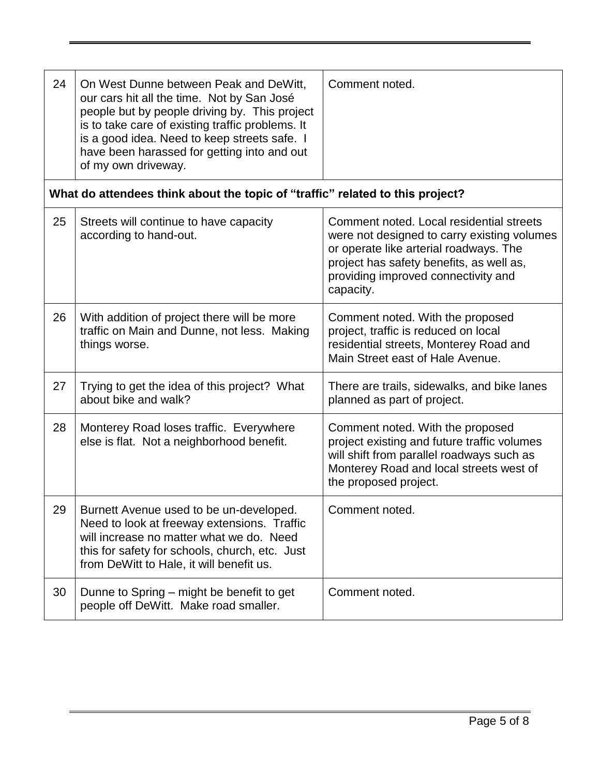| 24 | On West Dunne between Peak and DeWitt,<br>our cars hit all the time. Not by San José<br>people but by people driving by. This project<br>is to take care of existing traffic problems. It<br>is a good idea. Need to keep streets safe. I<br>have been harassed for getting into and out<br>of my own driveway. | Comment noted.                                                                                                                                                                                                                    |
|----|-----------------------------------------------------------------------------------------------------------------------------------------------------------------------------------------------------------------------------------------------------------------------------------------------------------------|-----------------------------------------------------------------------------------------------------------------------------------------------------------------------------------------------------------------------------------|
|    | What do attendees think about the topic of "traffic" related to this project?                                                                                                                                                                                                                                   |                                                                                                                                                                                                                                   |
| 25 | Streets will continue to have capacity<br>according to hand-out.                                                                                                                                                                                                                                                | Comment noted. Local residential streets<br>were not designed to carry existing volumes<br>or operate like arterial roadways. The<br>project has safety benefits, as well as,<br>providing improved connectivity and<br>capacity. |
| 26 | With addition of project there will be more<br>traffic on Main and Dunne, not less. Making<br>things worse.                                                                                                                                                                                                     | Comment noted. With the proposed<br>project, traffic is reduced on local<br>residential streets, Monterey Road and<br>Main Street east of Hale Avenue.                                                                            |
| 27 | Trying to get the idea of this project? What<br>about bike and walk?                                                                                                                                                                                                                                            | There are trails, sidewalks, and bike lanes<br>planned as part of project.                                                                                                                                                        |
| 28 | Monterey Road loses traffic. Everywhere<br>else is flat. Not a neighborhood benefit.                                                                                                                                                                                                                            | Comment noted. With the proposed<br>project existing and future traffic volumes<br>will shift from parallel roadways such as<br>Monterey Road and local streets west of<br>the proposed project.                                  |
| 29 | Burnett Avenue used to be un-developed.<br>Need to look at freeway extensions. Traffic<br>will increase no matter what we do. Need<br>this for safety for schools, church, etc. Just<br>from DeWitt to Hale, it will benefit us.                                                                                | Comment noted.                                                                                                                                                                                                                    |
| 30 | Dunne to Spring – might be benefit to get<br>people off DeWitt. Make road smaller.                                                                                                                                                                                                                              | Comment noted.                                                                                                                                                                                                                    |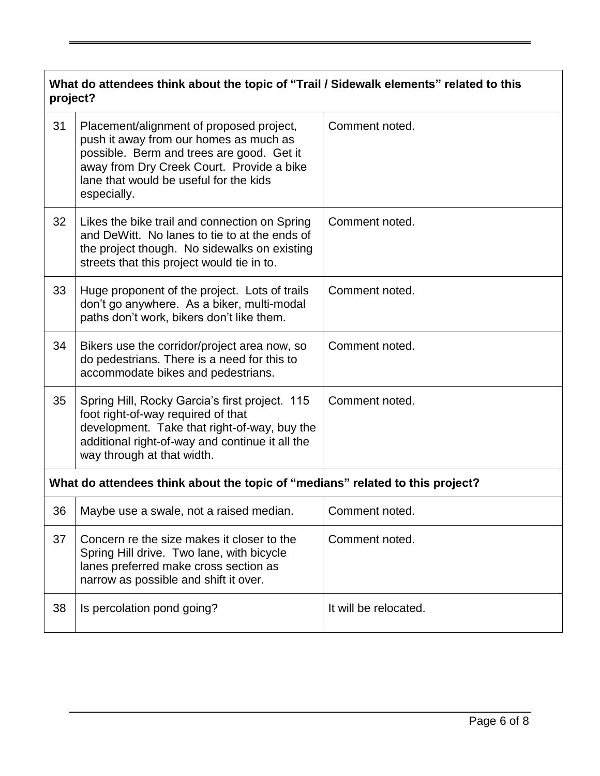| What do attendees think about the topic of "Trail / Sidewalk elements" related to this<br>project? |                                                                                                                                                                                                                                       |                       |
|----------------------------------------------------------------------------------------------------|---------------------------------------------------------------------------------------------------------------------------------------------------------------------------------------------------------------------------------------|-----------------------|
| 31                                                                                                 | Placement/alignment of proposed project,<br>push it away from our homes as much as<br>possible. Berm and trees are good. Get it<br>away from Dry Creek Court. Provide a bike<br>lane that would be useful for the kids<br>especially. | Comment noted.        |
| 32                                                                                                 | Likes the bike trail and connection on Spring<br>and DeWitt. No lanes to tie to at the ends of<br>the project though. No sidewalks on existing<br>streets that this project would tie in to.                                          | Comment noted.        |
| 33                                                                                                 | Huge proponent of the project. Lots of trails<br>don't go anywhere. As a biker, multi-modal<br>paths don't work, bikers don't like them.                                                                                              | Comment noted.        |
| 34                                                                                                 | Bikers use the corridor/project area now, so<br>do pedestrians. There is a need for this to<br>accommodate bikes and pedestrians.                                                                                                     | Comment noted.        |
| 35                                                                                                 | Spring Hill, Rocky Garcia's first project. 115<br>foot right-of-way required of that<br>development. Take that right-of-way, buy the<br>additional right-of-way and continue it all the<br>way through at that width.                 | Comment noted.        |
| What do attendees think about the topic of "medians" related to this project?                      |                                                                                                                                                                                                                                       |                       |
| 36                                                                                                 | Maybe use a swale, not a raised median.                                                                                                                                                                                               | Comment noted.        |
| 37                                                                                                 | Concern re the size makes it closer to the<br>Spring Hill drive. Two lane, with bicycle<br>lanes preferred make cross section as<br>narrow as possible and shift it over.                                                             | Comment noted.        |
| 38                                                                                                 | Is percolation pond going?                                                                                                                                                                                                            | It will be relocated. |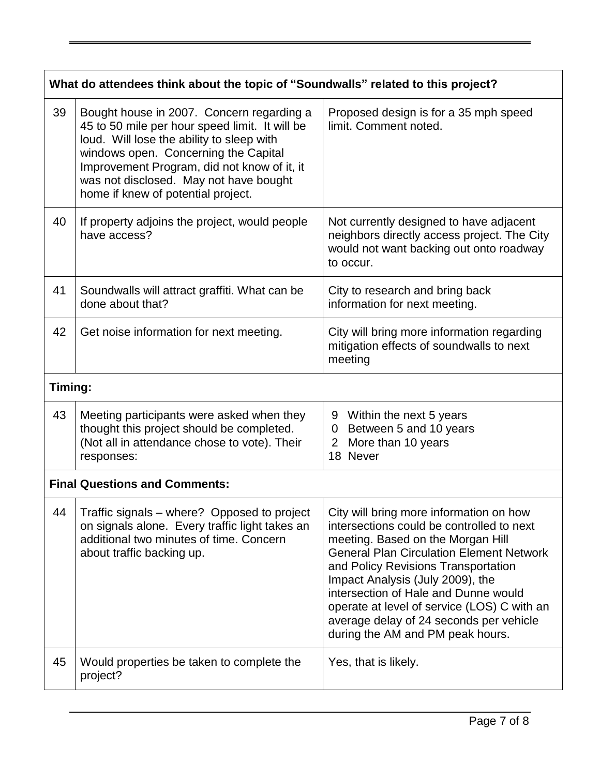| What do attendees think about the topic of "Soundwalls" related to this project? |                                                                                                                                                                                                                                                                                                                 |                                                                                                                                                                                                                                                                                                                                                                                                                               |
|----------------------------------------------------------------------------------|-----------------------------------------------------------------------------------------------------------------------------------------------------------------------------------------------------------------------------------------------------------------------------------------------------------------|-------------------------------------------------------------------------------------------------------------------------------------------------------------------------------------------------------------------------------------------------------------------------------------------------------------------------------------------------------------------------------------------------------------------------------|
| 39                                                                               | Bought house in 2007. Concern regarding a<br>45 to 50 mile per hour speed limit. It will be<br>loud. Will lose the ability to sleep with<br>windows open. Concerning the Capital<br>Improvement Program, did not know of it, it<br>was not disclosed. May not have bought<br>home if knew of potential project. | Proposed design is for a 35 mph speed<br>limit. Comment noted.                                                                                                                                                                                                                                                                                                                                                                |
| 40                                                                               | If property adjoins the project, would people<br>have access?                                                                                                                                                                                                                                                   | Not currently designed to have adjacent<br>neighbors directly access project. The City<br>would not want backing out onto roadway<br>to occur.                                                                                                                                                                                                                                                                                |
| 41                                                                               | Soundwalls will attract graffiti. What can be<br>done about that?                                                                                                                                                                                                                                               | City to research and bring back<br>information for next meeting.                                                                                                                                                                                                                                                                                                                                                              |
| 42                                                                               | Get noise information for next meeting.                                                                                                                                                                                                                                                                         | City will bring more information regarding<br>mitigation effects of soundwalls to next<br>meeting                                                                                                                                                                                                                                                                                                                             |
| Timing:                                                                          |                                                                                                                                                                                                                                                                                                                 |                                                                                                                                                                                                                                                                                                                                                                                                                               |
| 43                                                                               | Meeting participants were asked when they<br>thought this project should be completed.<br>(Not all in attendance chose to vote). Their<br>responses:                                                                                                                                                            | 9<br>Within the next 5 years<br>Between 5 and 10 years<br>$\overline{0}$<br>More than 10 years<br>$\overline{2}$<br>18 Never                                                                                                                                                                                                                                                                                                  |
| <b>Final Questions and Comments:</b>                                             |                                                                                                                                                                                                                                                                                                                 |                                                                                                                                                                                                                                                                                                                                                                                                                               |
| 44                                                                               | Traffic signals – where? Opposed to project<br>on signals alone. Every traffic light takes an<br>additional two minutes of time. Concern<br>about traffic backing up.                                                                                                                                           | City will bring more information on how<br>intersections could be controlled to next<br>meeting. Based on the Morgan Hill<br><b>General Plan Circulation Element Network</b><br>and Policy Revisions Transportation<br>Impact Analysis (July 2009), the<br>intersection of Hale and Dunne would<br>operate at level of service (LOS) C with an<br>average delay of 24 seconds per vehicle<br>during the AM and PM peak hours. |
| 45                                                                               | Would properties be taken to complete the<br>project?                                                                                                                                                                                                                                                           | Yes, that is likely.                                                                                                                                                                                                                                                                                                                                                                                                          |